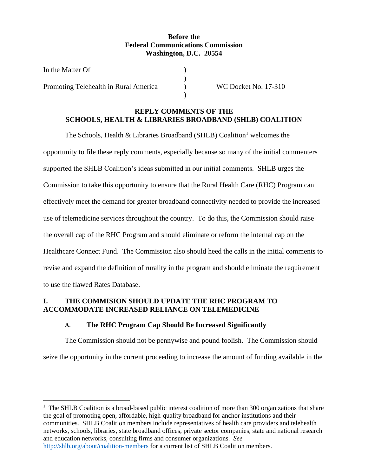### **Before the Federal Communications Commission Washington, D.C. 20554**

| In the Matter Of                      |                      |
|---------------------------------------|----------------------|
|                                       |                      |
| Promoting Telehealth in Rural America | WC Docket No. 17-310 |
|                                       |                      |

### **REPLY COMMENTS OF THE SCHOOLS, HEALTH & LIBRARIES BROADBAND (SHLB) COALITION**

The Schools, Health & Libraries Broadband (SHLB) Coalition<sup>1</sup> welcomes the opportunity to file these reply comments, especially because so many of the initial commenters supported the SHLB Coalition's ideas submitted in our initial comments. SHLB urges the Commission to take this opportunity to ensure that the Rural Health Care (RHC) Program can effectively meet the demand for greater broadband connectivity needed to provide the increased use of telemedicine services throughout the country. To do this, the Commission should raise the overall cap of the RHC Program and should eliminate or reform the internal cap on the Healthcare Connect Fund. The Commission also should heed the calls in the initial comments to revise and expand the definition of rurality in the program and should eliminate the requirement to use the flawed Rates Database.

# **I. THE COMMISION SHOULD UPDATE THE RHC PROGRAM TO ACCOMMODATE INCREASED RELIANCE ON TELEMEDICINE**

# **A. The RHC Program Cap Should Be Increased Significantly**

The Commission should not be pennywise and pound foolish. The Commission should seize the opportunity in the current proceeding to increase the amount of funding available in the

<sup>&</sup>lt;sup>1</sup> The SHLB Coalition is a broad-based public interest coalition of more than 300 organizations that share the goal of promoting open, affordable, high-quality broadband for anchor institutions and their communities. SHLB Coalition members include representatives of health care providers and telehealth networks, schools, libraries, state broadband offices, private sector companies, state and national research and education networks, consulting firms and consumer organizations. *See* <http://shlb.org/about/coalition-members> for a current list of SHLB Coalition members.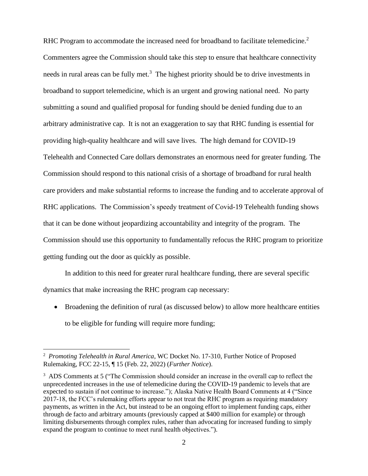RHC Program to accommodate the increased need for broadband to facilitate telemedicine.<sup>2</sup> Commenters agree the Commission should take this step to ensure that healthcare connectivity needs in rural areas can be fully met.<sup>3</sup> The highest priority should be to drive investments in broadband to support telemedicine, which is an urgent and growing national need. No party submitting a sound and qualified proposal for funding should be denied funding due to an arbitrary administrative cap. It is not an exaggeration to say that RHC funding is essential for providing high-quality healthcare and will save lives. The high demand for COVID-19 Telehealth and Connected Care dollars demonstrates an enormous need for greater funding. The Commission should respond to this national crisis of a shortage of broadband for rural health care providers and make substantial reforms to increase the funding and to accelerate approval of RHC applications. The Commission's speedy treatment of Covid-19 Telehealth funding shows that it can be done without jeopardizing accountability and integrity of the program. The Commission should use this opportunity to fundamentally refocus the RHC program to prioritize getting funding out the door as quickly as possible.

In addition to this need for greater rural healthcare funding, there are several specific dynamics that make increasing the RHC program cap necessary:

• Broadening the definition of rural (as discussed below) to allow more healthcare entities to be eligible for funding will require more funding;

<sup>2</sup> *Promoting Telehealth in Rural America*, WC Docket No. 17-310, Further Notice of Proposed Rulemaking, FCC 22-15, ¶ 15 (Feb. 22, 2022) (*Further Notice*).

<sup>&</sup>lt;sup>3</sup> ADS Comments at 5 ("The Commission should consider an increase in the overall cap to reflect the unprecedented increases in the use of telemedicine during the COVID-19 pandemic to levels that are expected to sustain if not continue to increase."); Alaska Native Health Board Comments at 4 ("Since 2017-18, the FCC's rulemaking efforts appear to not treat the RHC program as requiring mandatory payments, as written in the Act, but instead to be an ongoing effort to implement funding caps, either through de facto and arbitrary amounts (previously capped at \$400 million for example) or through limiting disbursements through complex rules, rather than advocating for increased funding to simply expand the program to continue to meet rural health objectives.").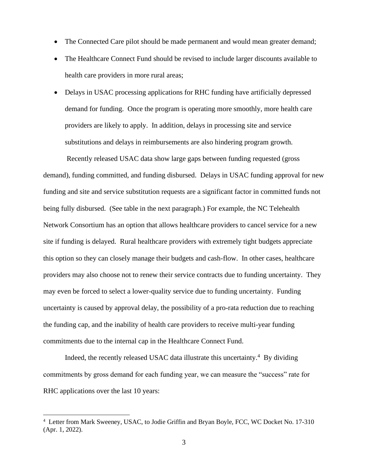- The Connected Care pilot should be made permanent and would mean greater demand;
- The Healthcare Connect Fund should be revised to include larger discounts available to health care providers in more rural areas;
- Delays in USAC processing applications for RHC funding have artificially depressed demand for funding. Once the program is operating more smoothly, more health care providers are likely to apply. In addition, delays in processing site and service substitutions and delays in reimbursements are also hindering program growth.

Recently released USAC data show large gaps between funding requested (gross demand), funding committed, and funding disbursed. Delays in USAC funding approval for new funding and site and service substitution requests are a significant factor in committed funds not being fully disbursed. (See table in the next paragraph.) For example, the NC Telehealth Network Consortium has an option that allows healthcare providers to cancel service for a new site if funding is delayed. Rural healthcare providers with extremely tight budgets appreciate this option so they can closely manage their budgets and cash-flow. In other cases, healthcare providers may also choose not to renew their service contracts due to funding uncertainty. They may even be forced to select a lower-quality service due to funding uncertainty. Funding uncertainty is caused by approval delay, the possibility of a pro-rata reduction due to reaching the funding cap, and the inability of health care providers to receive multi-year funding commitments due to the internal cap in the Healthcare Connect Fund.

Indeed, the recently released USAC data illustrate this uncertainty. $4$  By dividing commitments by gross demand for each funding year, we can measure the "success" rate for RHC applications over the last 10 years:

<sup>4</sup> Letter from Mark Sweeney, USAC, to Jodie Griffin and Bryan Boyle, FCC, WC Docket No. 17-310 (Apr. 1, 2022).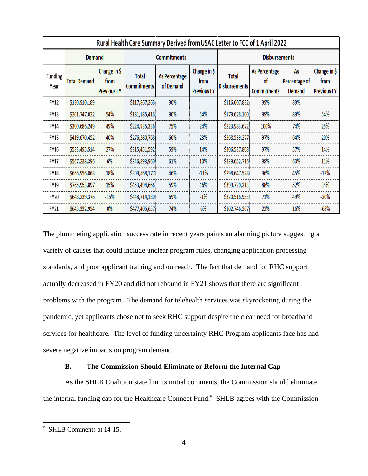| Rural Health Care Summary Derived from USAC Letter to FCC of 1 April 2022 |                     |                                            |                                    |                            |                                            |                                      |                                           |                                      |                                            |  |
|---------------------------------------------------------------------------|---------------------|--------------------------------------------|------------------------------------|----------------------------|--------------------------------------------|--------------------------------------|-------------------------------------------|--------------------------------------|--------------------------------------------|--|
|                                                                           | <b>Demand</b>       |                                            | <b>Commitments</b>                 |                            | <b>Disbursements</b>                       |                                      |                                           |                                      |                                            |  |
| Funding<br>Year                                                           | <b>Total Demand</b> | Change in \$<br>from<br><b>Previous FY</b> | <b>Total</b><br><b>Commitments</b> | As Percentage<br>of Demand | Change in \$<br>from<br><b>Previous FY</b> | <b>Total</b><br><b>Disbursements</b> | As Percentage<br>0f<br><b>Commitments</b> | As<br>Percentage of<br><b>Demand</b> | Change in \$<br>from<br><b>Previous FY</b> |  |
| <b>FY12</b>                                                               | \$130,910,189       |                                            | \$117,867,268                      | 90%                        |                                            | \$116,607,832                        | 99%                                       | 89%                                  |                                            |  |
| <b>FY13</b>                                                               | \$201,747,022       | 54%                                        | \$181,185,416                      | 90%                        | 54%                                        | \$179,628,100                        | 99%                                       | 89%                                  | 54%                                        |  |
| <b>FY14</b>                                                               | \$300,686,249       | 49%                                        | \$224,935,336                      | 75%                        | 24%                                        | \$223,983,672                        | 100%                                      | 74%                                  | 25%                                        |  |
| <b>FY15</b>                                                               | \$419,670,452       | 40%                                        | \$276,280,768                      | 66%                        | 23%                                        | \$268,539,277                        | 97%                                       | 64%                                  | 20%                                        |  |
| <b>FY16</b>                                                               | \$533,495,514       | 27%                                        | \$315,451,592                      | 59%                        | 14%                                        | \$306,537,808                        | 97%                                       | 57%                                  | 14%                                        |  |
| <b>FY17</b>                                                               | \$567,238,396       | 6%                                         | \$346,893,960                      | 61%                        | 10%                                        | \$339,652,716                        | 98%                                       | 60%                                  | 11%                                        |  |
| <b>FY18</b>                                                               | \$666,956,868       | 18%                                        | \$309,568,177                      | 46%                        | $-11%$                                     | \$298,647,528                        | 96%                                       | 45%                                  | $-12%$                                     |  |
| <b>FY19</b>                                                               | \$765,953,897       | 15%                                        | \$453,494,666                      | 59%                        | 46%                                        | \$399,720,213                        | 88%                                       | 52%                                  | 34%                                        |  |
| <b>FY20</b>                                                               | \$648,239,376       | $-15%$                                     | \$448,714,180                      | 69%                        | $-1%$                                      | \$320,516,953                        | 71%                                       | 49%                                  | $-20%$                                     |  |
| <b>FY21</b>                                                               | \$645,332,954       | $0\%$                                      | \$477,405,657                      | 74%                        | 6%                                         | \$102,746,267                        | 22%                                       | 16%                                  | $-68%$                                     |  |

The plummeting application success rate in recent years paints an alarming picture suggesting a variety of causes that could include unclear program rules, changing application processing standards, and poor applicant training and outreach. The fact that demand for RHC support actually decreased in FY20 and did not rebound in FY21 shows that there are significant problems with the program. The demand for telehealth services was skyrocketing during the pandemic, yet applicants chose not to seek RHC support despite the clear need for broadband services for healthcare. The level of funding uncertainty RHC Program applicants face has had severe negative impacts on program demand.

#### **B. The Commission Should Eliminate or Reform the Internal Cap**

As the SHLB Coalition stated in its initial comments, the Commission should eliminate the internal funding cap for the Healthcare Connect Fund.<sup>5</sup> SHLB agrees with the Commission

<sup>5</sup> SHLB Comments at 14-15.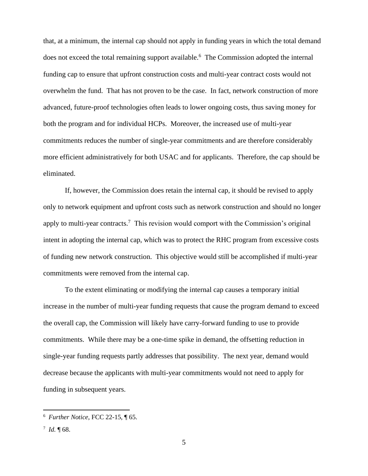that, at a minimum, the internal cap should not apply in funding years in which the total demand does not exceed the total remaining support available.<sup>6</sup> The Commission adopted the internal funding cap to ensure that upfront construction costs and multi-year contract costs would not overwhelm the fund. That has not proven to be the case. In fact, network construction of more advanced, future-proof technologies often leads to lower ongoing costs, thus saving money for both the program and for individual HCPs. Moreover, the increased use of multi-year commitments reduces the number of single-year commitments and are therefore considerably more efficient administratively for both USAC and for applicants. Therefore, the cap should be eliminated.

If, however, the Commission does retain the internal cap, it should be revised to apply only to network equipment and upfront costs such as network construction and should no longer apply to multi-year contracts.<sup>7</sup> This revision would comport with the Commission's original intent in adopting the internal cap, which was to protect the RHC program from excessive costs of funding new network construction. This objective would still be accomplished if multi-year commitments were removed from the internal cap.

To the extent eliminating or modifying the internal cap causes a temporary initial increase in the number of multi-year funding requests that cause the program demand to exceed the overall cap, the Commission will likely have carry-forward funding to use to provide commitments. While there may be a one-time spike in demand, the offsetting reduction in single-year funding requests partly addresses that possibility. The next year, demand would decrease because the applicants with multi-year commitments would not need to apply for funding in subsequent years.

<sup>6</sup> *Further Notice*, FCC 22-15, ¶ 65.

 $^7$  *Id.*  $\P$  68.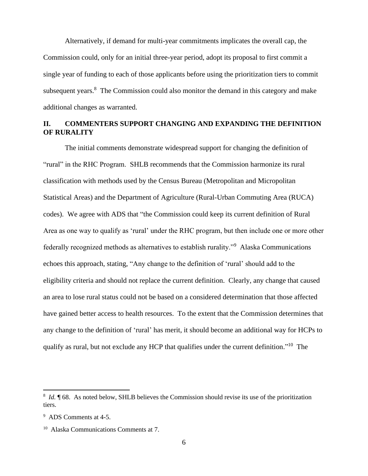Alternatively, if demand for multi-year commitments implicates the overall cap, the Commission could, only for an initial three-year period, adopt its proposal to first commit a single year of funding to each of those applicants before using the prioritization tiers to commit subsequent years. $8$  The Commission could also monitor the demand in this category and make additional changes as warranted.

### **II. COMMENTERS SUPPORT CHANGING AND EXPANDING THE DEFINITION OF RURALITY**

The initial comments demonstrate widespread support for changing the definition of "rural" in the RHC Program. SHLB recommends that the Commission harmonize its rural classification with methods used by the Census Bureau (Metropolitan and Micropolitan Statistical Areas) and the Department of Agriculture (Rural-Urban Commuting Area (RUCA) codes). We agree with ADS that "the Commission could keep its current definition of Rural Area as one way to qualify as 'rural' under the RHC program, but then include one or more other federally recognized methods as alternatives to establish rurality."<sup>9</sup> Alaska Communications echoes this approach, stating, "Any change to the definition of 'rural' should add to the eligibility criteria and should not replace the current definition. Clearly, any change that caused an area to lose rural status could not be based on a considered determination that those affected have gained better access to health resources. To the extent that the Commission determines that any change to the definition of 'rural' has merit, it should become an additional way for HCPs to qualify as rural, but not exclude any HCP that qualifies under the current definition."<sup>10</sup> The

<sup>&</sup>lt;sup>8</sup> *Id.* ¶ 68. As noted below, SHLB believes the Commission should revise its use of the prioritization tiers.

<sup>9</sup> ADS Comments at 4-5.

<sup>10</sup> Alaska Communications Comments at 7.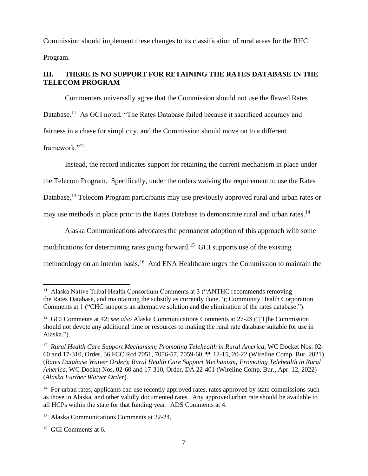Commission should implement these changes to its classification of rural areas for the RHC Program.

# **III. THERE IS NO SUPPORT FOR RETAINING THE RATES DATABASE IN THE TELECOM PROGRAM**

Commenters universally agree that the Commission should not use the flawed Rates Database.<sup>11</sup> As GCI noted, "The Rates Database failed because it sacrificed accuracy and fairness in a chase for simplicity, and the Commission should move on to a different framework."<sup>12</sup>

Instead, the record indicates support for retaining the current mechanism in place under the Telecom Program. Specifically, under the orders waiving the requirement to use the Rates Database,<sup>13</sup> Telecom Program participants may use previously approved rural and urban rates or may use methods in place prior to the Rates Database to demonstrate rural and urban rates.<sup>14</sup>

Alaska Communications advocates the permanent adoption of this approach with some modifications for determining rates going forward.<sup>15</sup> GCI supports use of the existing methodology on an interim basis.<sup>16</sup> And ENA Healthcare urges the Commission to maintain the

<sup>&</sup>lt;sup>11</sup> Alaska Native Tribal Health Consortium Comments at 3 ("ANTHC recommends removing the Rates Database, and maintaining the subsidy as currently done."); Community Health Corporation Comments at 1 ("CHC supports an alternative solution and the elimination of the rates database.").

<sup>12</sup> GCI Comments at 42; *see also* Alaska Communications Comments at 27-28 ("[T]he Commission should not devote any additional time or resources to making the rural rate database suitable for use in Alaska.").

<sup>&</sup>lt;sup>13</sup> Rural Health Care Support Mechanism; Promoting Telehealth in Rural America, WC Docket Nos. 02-60 and 17-310, Order, 36 FCC Rcd 7051, 7056-57, 7059-60, ¶¶ 12-15, 20-22 (Wireline Comp. Bur. 2021) (*Rates Database Waiver Order*); *Rural Health Care Support Mechanism; Promoting Telehealth in Rural America*, WC Docket Nos. 02-60 and 17-310, Order, DA 22-401 (Wireline Comp. Bur., Apr. 12, 2022) (*Alaska Further Waiver Order*).

<sup>&</sup>lt;sup>14</sup> For urban rates, applicants can use recently approved rates, rates approved by state commissions such as those in Alaska, and other validly documented rates. Any approved urban rate should be available to all HCPs within the state for that funding year. ADS Comments at 4.

<sup>15</sup> Alaska Communications Comments at 22-24,

<sup>16</sup> GCI Comments at 6.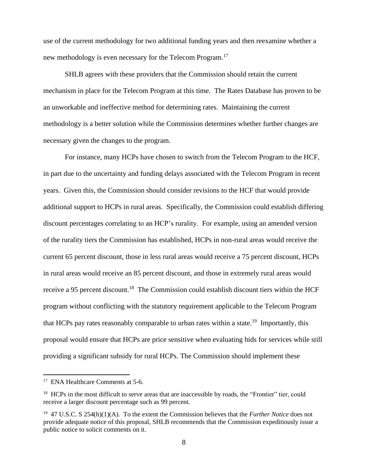use of the current methodology for two additional funding years and then reexamine whether a new methodology is even necessary for the Telecom Program.<sup>17</sup>

SHLB agrees with these providers that the Commission should retain the current mechanism in place for the Telecom Program at this time. The Rates Database has proven to be an unworkable and ineffective method for determining rates. Maintaining the current methodology is a better solution while the Commission determines whether further changes are necessary given the changes to the program.

For instance, many HCPs have chosen to switch from the Telecom Program to the HCF, in part due to the uncertainty and funding delays associated with the Telecom Program in recent years. Given this, the Commission should consider revisions to the HCF that would provide additional support to HCPs in rural areas. Specifically, the Commission could establish differing discount percentages correlating to an HCP's rurality. For example, using an amended version of the rurality tiers the Commission has established, HCPs in non-rural areas would receive the current 65 percent discount, those in less rural areas would receive a 75 percent discount, HCPs in rural areas would receive an 85 percent discount, and those in extremely rural areas would receive a 95 percent discount.<sup>18</sup> The Commission could establish discount tiers within the HCF program without conflicting with the statutory requirement applicable to the Telecom Program that HCPs pay rates reasonably comparable to urban rates within a state.<sup>19</sup> Importantly, this proposal would ensure that HCPs are price sensitive when evaluating bids for services while still providing a significant subsidy for rural HCPs. The Commission should implement these

<sup>&</sup>lt;sup>17</sup> ENA Healthcare Comments at 5-6.

<sup>&</sup>lt;sup>18</sup> HCPs in the most difficult to serve areas that are inaccessible by roads, the "Frontier" tier, could receive a larger discount percentage such as 99 percent.

<sup>19</sup> 47 U.S.C. S 254(h)(1)(A). To the extent the Commission believes that the *Further Notice* does not provide adequate notice of this proposal, SHLB recommends that the Commission expeditiously issue a public notice to solicit comments on it.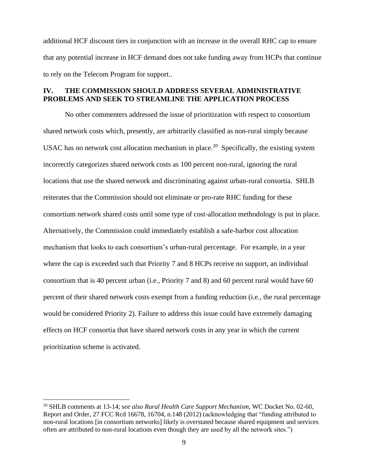additional HCF discount tiers in conjunction with an increase in the overall RHC cap to ensure that any potential increase in HCF demand does not take funding away from HCPs that continue to rely on the Telecom Program for support..

#### **IV. THE COMMISSION SHOULD ADDRESS SEVERAL ADMINISTRATIVE PROBLEMS AND SEEK TO STREAMLINE THE APPLICATION PROCESS**

No other commenters addressed the issue of prioritization with respect to consortium shared network costs which, presently, are arbitrarily classified as non-rural simply because USAC has no network cost allocation mechanism in place.<sup>20</sup> Specifically, the existing system incorrectly categorizes shared network costs as 100 percent non-rural, ignoring the rural locations that use the shared network and discriminating against urban-rural consortia. SHLB reiterates that the Commission should not eliminate or pro-rate RHC funding for these consortium network shared costs until some type of cost-allocation methodology is put in place. Alternatively, the Commission could immediately establish a safe-harbor cost allocation mechanism that looks to each consortium's urban-rural percentage. For example, in a year where the cap is exceeded such that Priority 7 and 8 HCPs receive no support, an individual consortium that is 40 percent urban (i.e., Priority 7 and 8) and 60 percent rural would have 60 percent of their shared network costs exempt from a funding reduction (i.e., the rural percentage would be considered Priority 2). Failure to address this issue could have extremely damaging effects on HCF consortia that have shared network costs in any year in which the current prioritization scheme is activated.

<sup>20</sup> SHLB comments at 13-14; *see also Rural Health Care Support Mechanism*, WC Docket No. 02-60, Report and Order, 27 FCC Rcd 16678, 16704, n.148 (2012) (acknowledging that "funding attributed to non-rural locations [in consortium networks] likely is overstated because shared equipment and services often are attributed to non-rural locations even though they are used by all the network sites.")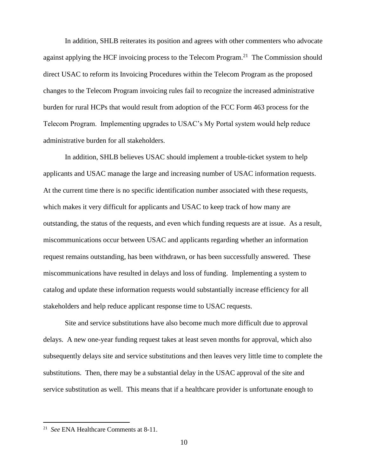In addition, SHLB reiterates its position and agrees with other commenters who advocate against applying the HCF invoicing process to the Telecom Program.<sup>21</sup> The Commission should direct USAC to reform its Invoicing Procedures within the Telecom Program as the proposed changes to the Telecom Program invoicing rules fail to recognize the increased administrative burden for rural HCPs that would result from adoption of the FCC Form 463 process for the Telecom Program. Implementing upgrades to USAC's My Portal system would help reduce administrative burden for all stakeholders.

In addition, SHLB believes USAC should implement a trouble-ticket system to help applicants and USAC manage the large and increasing number of USAC information requests. At the current time there is no specific identification number associated with these requests, which makes it very difficult for applicants and USAC to keep track of how many are outstanding, the status of the requests, and even which funding requests are at issue. As a result, miscommunications occur between USAC and applicants regarding whether an information request remains outstanding, has been withdrawn, or has been successfully answered. These miscommunications have resulted in delays and loss of funding. Implementing a system to catalog and update these information requests would substantially increase efficiency for all stakeholders and help reduce applicant response time to USAC requests.

Site and service substitutions have also become much more difficult due to approval delays. A new one-year funding request takes at least seven months for approval, which also subsequently delays site and service substitutions and then leaves very little time to complete the substitutions. Then, there may be a substantial delay in the USAC approval of the site and service substitution as well. This means that if a healthcare provider is unfortunate enough to

<sup>21</sup> *See* ENA Healthcare Comments at 8-11.